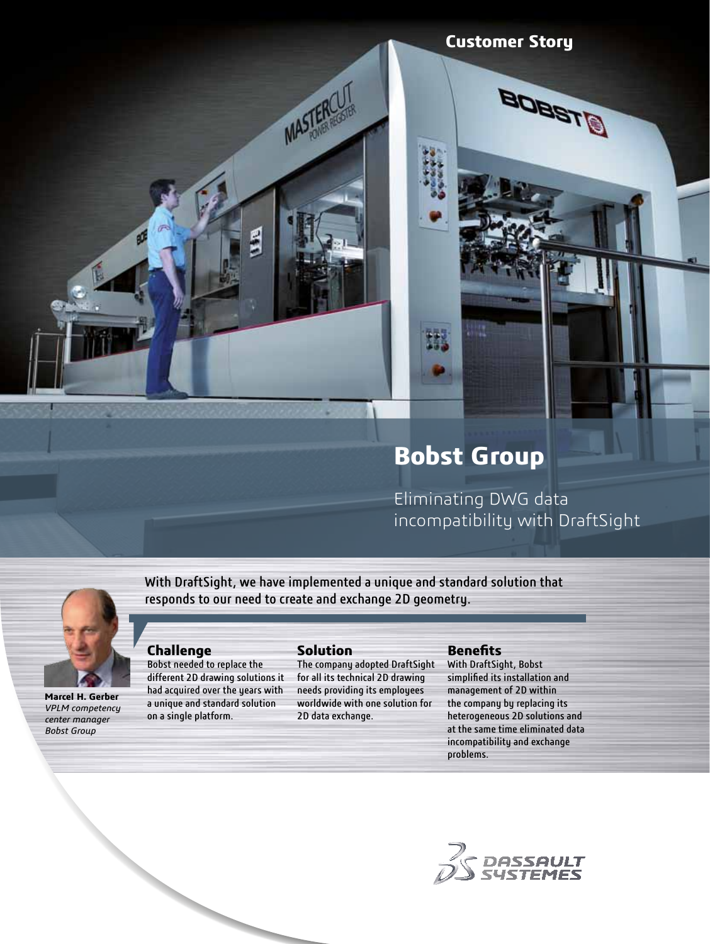**Customer Story** 

**BTEBOB** 

# **Bobst Group**

Eliminating DWG data incompatibility with DraftSight



**Marcel H. Gerber**  *VPLM competency center manager Bobst Group*

With DraftSight, we have implemented a unique and standard solution that responds to our need to create and exchange 2D geometry.

## **Challenge**

 $\boldsymbol{\beta}$ 

Bobst needed to replace the different 2D drawing solutions it had acquired over the years with a unique and standard solution on a single platform.

# **Solution**

MASTERCU

The company adopted DraftSight for all its technical 2D drawing needs providing its employees worldwide with one solution for 2D data exchange.

#### **Benefits**

With DraftSight, Bobst simplified its installation and management of 2D within the company by replacing its heterogeneous 2D solutions and at the same time eliminated data incompatibility and exchange problems.

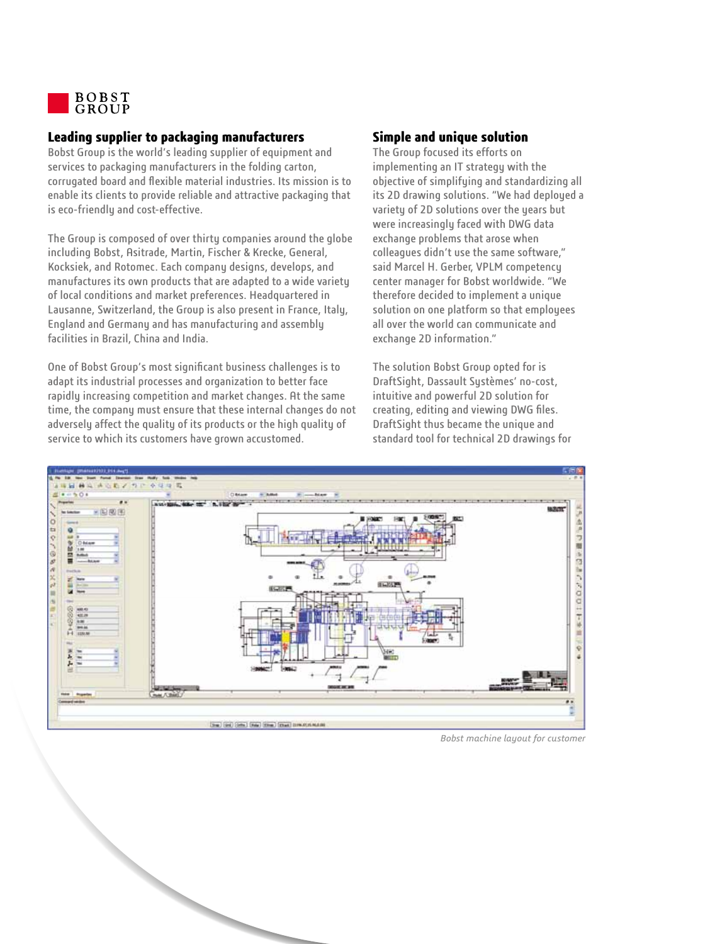

## **Leading supplier to packaging manufacturers**

Bobst Group is the world's leading supplier of equipment and services to packaging manufacturers in the folding carton, corrugated board and flexible material industries. Its mission is to enable its clients to provide reliable and attractive packaging that is eco-friendly and cost-effective.

The Group is composed of over thirty companies around the globe including Bobst, Asitrade, Martin, Fischer & Krecke, General, Kocksiek, and Rotomec. Each company designs, develops, and manufactures its own products that are adapted to a wide variety of local conditions and market preferences. Headquartered in Lausanne, Switzerland, the Group is also present in France, Italy, England and Germany and has manufacturing and assembly facilities in Brazil, China and India.

One of Bobst Group's most significant business challenges is to adapt its industrial processes and organization to better face rapidly increasing competition and market changes. At the same time, the company must ensure that these internal changes do not adversely affect the quality of its products or the high quality of service to which its customers have grown accustomed.

## **Simple and unique solution**

The Group focused its efforts on implementing an IT strategy with the objective of simplifying and standardizing all its 2D drawing solutions. "We had deployed a variety of 2D solutions over the years but were increasingly faced with DWG data exchange problems that arose when colleagues didn't use the same software," said Marcel H. Gerber, VPLM competency center manager for Bobst worldwide. "We therefore decided to implement a unique solution on one platform so that employees all over the world can communicate and exchange 2D information."

The solution Bobst Group opted for is DraftSight, Dassault Systèmes' no-cost, intuitive and powerful 2D solution for creating, editing and viewing DWG files. DraftSight thus became the unique and standard tool for technical 2D drawings for



*Bobst machine layout for customer*